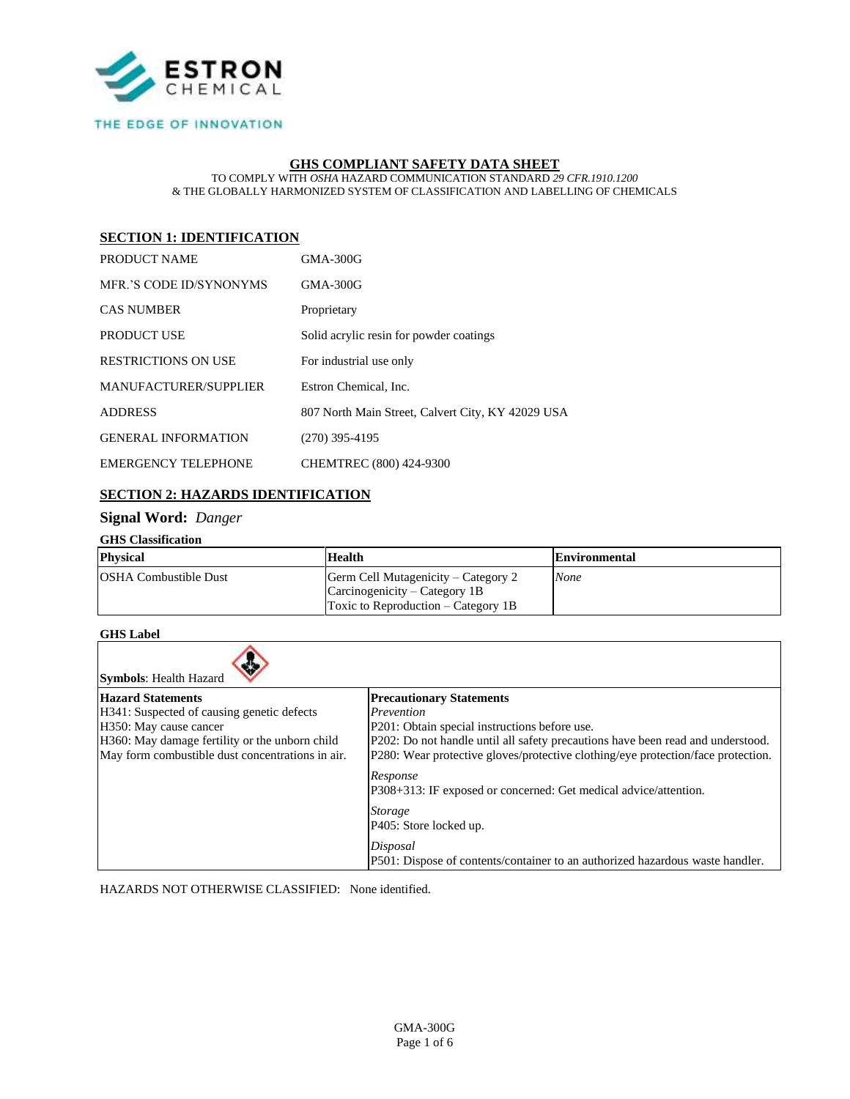

### THE EDGE OF INNOVATION

### **GHS COMPLIANT SAFETY DATA SHEET**

TO COMPLY WITH *OSHA* HAZARD COMMUNICATION STANDARD *29 CFR.1910.1200* & THE GLOBALLY HARMONIZED SYSTEM OF CLASSIFICATION AND LABELLING OF CHEMICALS

# **SECTION 1: IDENTIFICATION**

| PRODUCT NAME               | GMA-300G                                          |
|----------------------------|---------------------------------------------------|
| MER.'S CODE ID/SYNONYMS    | <b>GMA-300G</b>                                   |
| <b>CAS NUMBER</b>          | Proprietary                                       |
| <b>PRODUCT USE</b>         | Solid acrylic resin for powder coatings           |
| <b>RESTRICTIONS ON USE</b> | For industrial use only                           |
| MANUFACTURER/SUPPLIER      | Estron Chemical, Inc.                             |
| <b>ADDRESS</b>             | 807 North Main Street, Calvert City, KY 42029 USA |
| <b>GENERAL INFORMATION</b> | $(270)$ 395-4195                                  |
| <b>EMERGENCY TELEPHONE</b> | CHEMTREC (800) 424-9300                           |

## **SECTION 2: HAZARDS IDENTIFICATION**

## **Signal Word:** *Danger*

#### **GHS Classification**

| <b>Physical</b>              | <b>Health</b>                                                                                                  | Environmental |
|------------------------------|----------------------------------------------------------------------------------------------------------------|---------------|
| <b>OSHA Combustible Dust</b> | Germ Cell Mutagenicity – Category 2<br>$Carcinogeneity - Category 1B$<br>Toxic to Reproduction $-$ Category 1B | None          |

### **GHS Label**

| <b>Symbols: Health Hazard</b>                    |                                                                                  |  |  |  |
|--------------------------------------------------|----------------------------------------------------------------------------------|--|--|--|
| <b>Hazard Statements</b>                         | <b>Precautionary Statements</b>                                                  |  |  |  |
| H341: Suspected of causing genetic defects       | Prevention                                                                       |  |  |  |
| H350: May cause cancer                           | P201: Obtain special instructions before use.                                    |  |  |  |
| H360: May damage fertility or the unborn child   | P202: Do not handle until all safety precautions have been read and understood.  |  |  |  |
| May form combustible dust concentrations in air. | P280: Wear protective gloves/protective clothing/eye protection/face protection. |  |  |  |
|                                                  | Response<br>P308+313: IF exposed or concerned: Get medical advice/attention.     |  |  |  |
|                                                  | <i>Storage</i>                                                                   |  |  |  |
|                                                  | [P405: Store locked up.                                                          |  |  |  |
|                                                  | Disposal                                                                         |  |  |  |
|                                                  | P501: Dispose of contents/container to an authorized hazardous waste handler.    |  |  |  |

HAZARDS NOT OTHERWISE CLASSIFIED: None identified.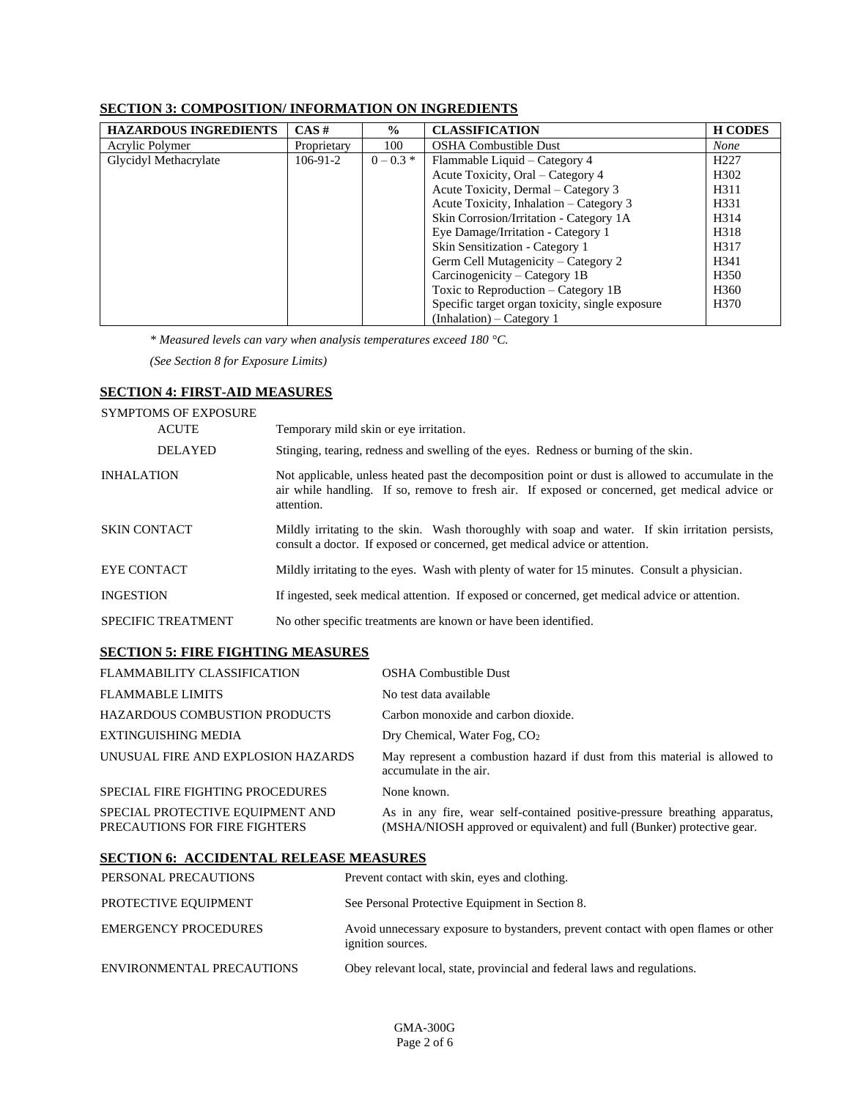# **SECTION 3: COMPOSITION/ INFORMATION ON INGREDIENTS**

| <b>HAZARDOUS INGREDIENTS</b> | $CAS \#$    | $\frac{0}{0}$ | <b>CLASSIFICATION</b>                           | <b>H</b> CODES   |
|------------------------------|-------------|---------------|-------------------------------------------------|------------------|
| Acrylic Polymer              | Proprietary | 100           | <b>OSHA Combustible Dust</b>                    | <b>None</b>      |
| Glycidyl Methacrylate        | $106-91-2$  | $0 - 0.3 *$   | Flammable Liquid – Category 4                   | H <sub>227</sub> |
|                              |             |               | Acute Toxicity, Oral – Category 4               | H <sub>302</sub> |
|                              |             |               | Acute Toxicity, Dermal – Category 3             | H311             |
|                              |             |               | Acute Toxicity, Inhalation – Category 3         | H331             |
|                              |             |               | Skin Corrosion/Irritation - Category 1A         | H314             |
|                              |             |               | Eye Damage/Irritation - Category 1              | H318             |
|                              |             |               | Skin Sensitization - Category 1                 | H317             |
|                              |             |               | Germ Cell Mutagenicity – Category 2             | H341             |
|                              |             |               | Carcinogenicity – Category 1B                   | H <sub>350</sub> |
|                              |             |               | Toxic to Reproduction - Category 1B             | H <sub>360</sub> |
|                              |             |               | Specific target organ toxicity, single exposure | H <sub>370</sub> |
|                              |             |               | $(Inhalation) - \text{Category} 1$              |                  |

*\* Measured levels can vary when analysis temperatures exceed 180 °C.*

*(See Section 8 for Exposure Limits)*

# **SECTION 4: FIRST-AID MEASURES**

# SYMPTOMS OF EXPOSURE

| <b>ACUTE</b>              | Temporary mild skin or eye irritation.                                                                                                                                                                             |
|---------------------------|--------------------------------------------------------------------------------------------------------------------------------------------------------------------------------------------------------------------|
| <b>DELAYED</b>            | Stinging, tearing, redness and swelling of the eyes. Redness or burning of the skin.                                                                                                                               |
| <b>INHALATION</b>         | Not applicable, unless heated past the decomposition point or dust is allowed to accumulate in the<br>air while handling. If so, remove to fresh air. If exposed or concerned, get medical advice or<br>attention. |
| <b>SKIN CONTACT</b>       | Mildly irritating to the skin. Wash thoroughly with soap and water. If skin irritation persists,<br>consult a doctor. If exposed or concerned, get medical advice or attention.                                    |
| <b>EYE CONTACT</b>        | Mildly irritating to the eyes. Wash with plenty of water for 15 minutes. Consult a physician.                                                                                                                      |
| <b>INGESTION</b>          | If ingested, seek medical attention. If exposed or concerned, get medical advice or attention.                                                                                                                     |
| <b>SPECIFIC TREATMENT</b> | No other specific treatments are known or have been identified.                                                                                                                                                    |

## **SECTION 5: FIRE FIGHTING MEASURES**

| <b>FLAMMABILITY CLASSIFICATION</b>                                | OSHA Combustible Dust                                                                                                                                |
|-------------------------------------------------------------------|------------------------------------------------------------------------------------------------------------------------------------------------------|
| <b>FLAMMABLE LIMITS</b>                                           | No test data available                                                                                                                               |
| <b>HAZARDOUS COMBUSTION PRODUCTS</b>                              | Carbon monoxide and carbon dioxide.                                                                                                                  |
| <b>EXTINGUISHING MEDIA</b>                                        | Dry Chemical, Water Fog, $CO2$                                                                                                                       |
| UNUSUAL FIRE AND EXPLOSION HAZARDS                                | May represent a combustion hazard if dust from this material is allowed to<br>accumulate in the air.                                                 |
| SPECIAL FIRE FIGHTING PROCEDURES                                  | None known.                                                                                                                                          |
| SPECIAL PROTECTIVE EQUIPMENT AND<br>PRECAUTIONS FOR FIRE FIGHTERS | As in any fire, wear self-contained positive-pressure breathing apparatus,<br>(MSHA/NIOSH approved or equivalent) and full (Bunker) protective gear. |

# **SECTION 6: ACCIDENTAL RELEASE MEASURES**

| PERSONAL PRECAUTIONS        | Prevent contact with skin, eyes and clothing.                                                            |
|-----------------------------|----------------------------------------------------------------------------------------------------------|
| PROTECTIVE EQUIPMENT        | See Personal Protective Equipment in Section 8.                                                          |
| <b>EMERGENCY PROCEDURES</b> | Avoid unnecessary exposure to bystanders, prevent contact with open flames or other<br>ignition sources. |
| ENVIRONMENTAL PRECAUTIONS   | Obey relevant local, state, provincial and federal laws and regulations.                                 |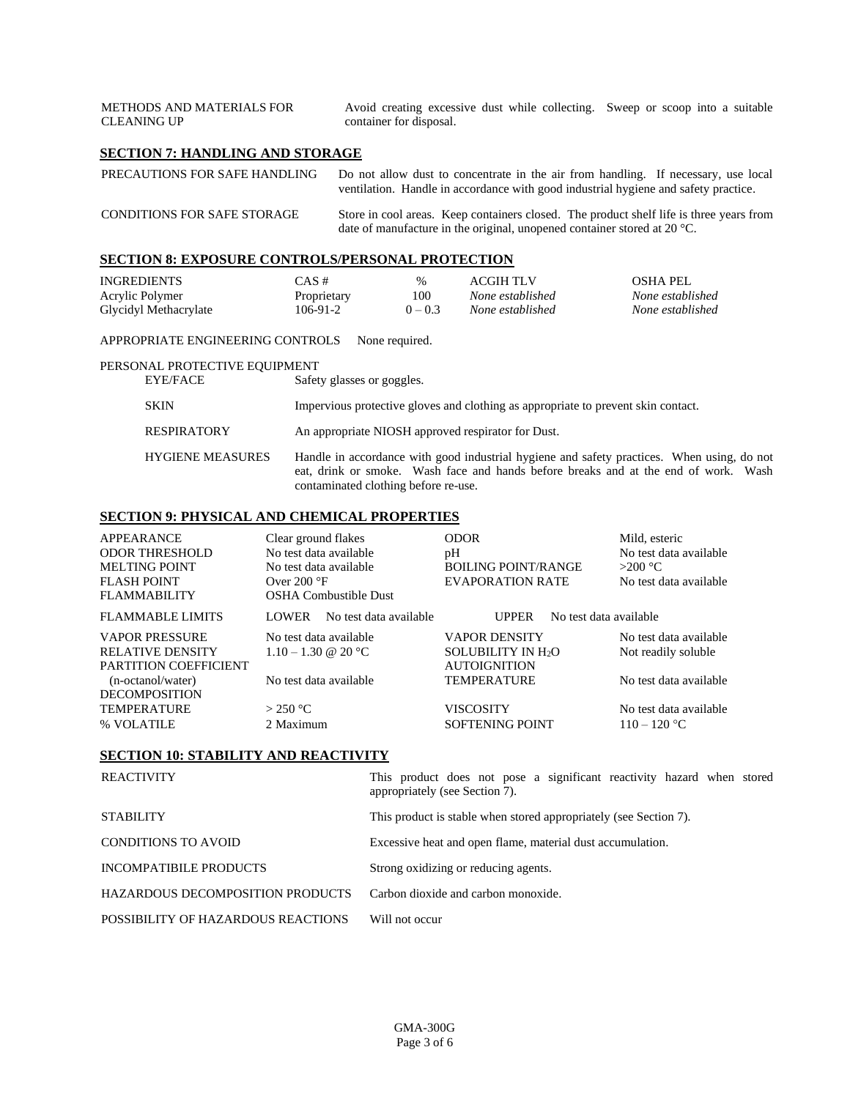| <b>METHODS AND MATERIALS FOR</b><br><b>CLEANING UP</b> | Avoid creating excessive dust while collecting. Sweep or scoop into a suitable<br>container for disposal. |  |
|--------------------------------------------------------|-----------------------------------------------------------------------------------------------------------|--|
| SECTION 7: HANDLING AND STORAGE                        |                                                                                                           |  |
| PRECAUTIONS FOR SAFE HANDLING                          | Do not allow dust to concentrate in the air from handling. If necessary use local                         |  |

| PRECAUTIONS FOR SAFE HANDLING      | Do not allow dust to concentrate in the air from handling. If necessary, use local<br>ventilation. Handle in accordance with good industrial hygiene and safety practice.     |
|------------------------------------|-------------------------------------------------------------------------------------------------------------------------------------------------------------------------------|
| <b>CONDITIONS FOR SAFE STORAGE</b> | Store in cool areas. Keep containers closed. The product shelf life is three years from<br>date of manufacture in the original, unopened container stored at 20 $^{\circ}$ C. |

# **SECTION 8: EXPOSURE CONTROLS/PERSONAL PROTECTION**

| <b>INGREDIENTS</b>    | CAS #       | $\%$      | ACGIH TLV        | <b>OSHA PEL</b>  |
|-----------------------|-------------|-----------|------------------|------------------|
| Acrylic Polymer       | Proprietary | 100       | None established | None established |
| Glycidyl Methacrylate | 106-91-2    | $0 - 0.3$ | None established | None established |

#### APPROPRIATE ENGINEERING CONTROLS None required.

#### PERSONAL PROTECTIVE EQUIPMENT

| EYE/FACE                | Safety glasses or goggles.                                                                                                                                                                                                |
|-------------------------|---------------------------------------------------------------------------------------------------------------------------------------------------------------------------------------------------------------------------|
| <b>SKIN</b>             | Impervious protective gloves and clothing as appropriate to prevent skin contact.                                                                                                                                         |
| <b>RESPIRATORY</b>      | An appropriate NIOSH approved respirator for Dust.                                                                                                                                                                        |
| <b>HYGIENE MEASURES</b> | Handle in accordance with good industrial hygiene and safety practices. When using, do not<br>eat, drink or smoke. Wash face and hands before breaks and at the end of work. Wash<br>contaminated clothing before re-use. |

### **SECTION 9: PHYSICAL AND CHEMICAL PROPERTIES**

| APPEARANCE<br><b>ODOR THRESHOLD</b><br><b>MELTING POINT</b><br><b>FLASH POINT</b><br><b>FLAMMABILITY</b> | Clear ground flakes<br>No test data available<br>No test data available<br>Over $200^{\circ}$ F<br><b>OSHA Combustible Dust</b> |                        | <b>ODOR</b><br>pH<br><b>BOILING POINT/RANGE</b><br>EVAPORATION RATE                                      |                        | Mild, esteric<br>No test data available<br>$>200$ °C<br>No test data available |
|----------------------------------------------------------------------------------------------------------|---------------------------------------------------------------------------------------------------------------------------------|------------------------|----------------------------------------------------------------------------------------------------------|------------------------|--------------------------------------------------------------------------------|
| <b>FLAMMABLE LIMITS</b>                                                                                  | <b>LOWER</b>                                                                                                                    | No test data available | <b>UPPER</b>                                                                                             | No test data available |                                                                                |
| <b>VAPOR PRESSURE</b><br><b>RELATIVE DENSITY</b><br>PARTITION COEFFICIENT<br>(n-octanol/water)           | No test data available<br>$1.10 - 1.30 \& 20 \degree C$<br>No test data available                                               |                        | <b>VAPOR DENSITY</b><br><b>SOLUBILITY IN H<sub>2</sub>O</b><br><b>AUTOIGNITION</b><br><b>TEMPERATURE</b> |                        | No test data available<br>Not readily soluble<br>No test data available        |
| <b>DECOMPOSITION</b><br><b>TEMPERATURE</b><br>% VOLATILE                                                 | $>$ 250 °C<br>2 Maximum                                                                                                         |                        | VISCOSITY<br><b>SOFTENING POINT</b>                                                                      |                        | No test data available<br>$110 - 120$ °C                                       |

# **SECTION 10: STABILITY AND REACTIVITY**

| <b>REACTIVITY</b>                       | This product does not pose a significant reactivity hazard when stored<br>appropriately (see Section 7). |
|-----------------------------------------|----------------------------------------------------------------------------------------------------------|
| <b>STABILITY</b>                        | This product is stable when stored appropriately (see Section 7).                                        |
| <b>CONDITIONS TO AVOID</b>              | Excessive heat and open flame, material dust accumulation.                                               |
| <b>INCOMPATIBILE PRODUCTS</b>           | Strong oxidizing or reducing agents.                                                                     |
| <b>HAZARDOUS DECOMPOSITION PRODUCTS</b> | Carbon dioxide and carbon monoxide.                                                                      |
| POSSIBILITY OF HAZARDOUS REACTIONS      | Will not occur                                                                                           |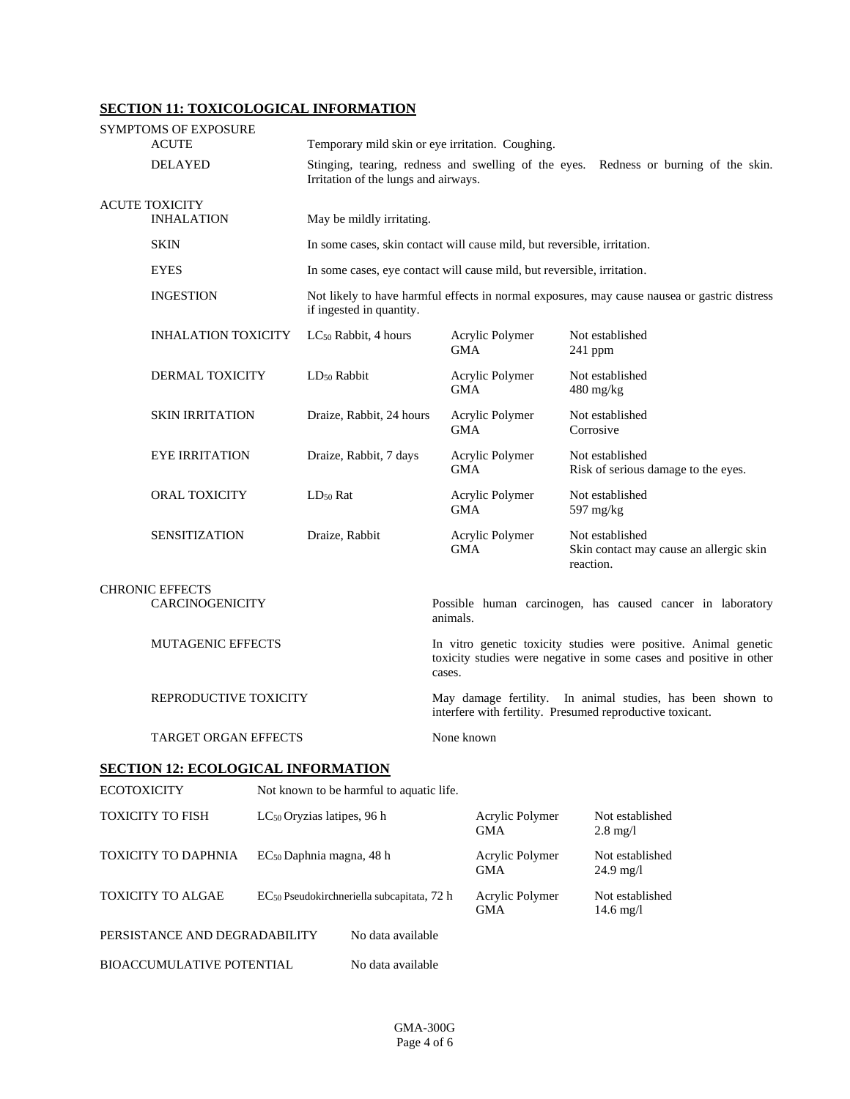# **SECTION 11: TOXICOLOGICAL INFORMATION**

|                                            | <b>SYMPTOMS OF EXPOSURE</b><br><b>ACUTE</b>      |                           | Temporary mild skin or eye irritation. Coughing.                                                                                                |            |                               |             |                                                            |  |
|--------------------------------------------|--------------------------------------------------|---------------------------|-------------------------------------------------------------------------------------------------------------------------------------------------|------------|-------------------------------|-------------|------------------------------------------------------------|--|
|                                            | <b>DELAYED</b>                                   |                           | Stinging, tearing, redness and swelling of the eyes. Redness or burning of the skin.<br>Irritation of the lungs and airways.                    |            |                               |             |                                                            |  |
| <b>ACUTE TOXICITY</b><br><b>INHALATION</b> |                                                  | May be mildly irritating. |                                                                                                                                                 |            |                               |             |                                                            |  |
|                                            | <b>SKIN</b>                                      |                           | In some cases, skin contact will cause mild, but reversible, irritation.                                                                        |            |                               |             |                                                            |  |
|                                            | <b>EYES</b>                                      |                           | In some cases, eye contact will cause mild, but reversible, irritation.                                                                         |            |                               |             |                                                            |  |
|                                            | <b>INGESTION</b>                                 |                           | Not likely to have harmful effects in normal exposures, may cause nausea or gastric distress<br>if ingested in quantity.                        |            |                               |             |                                                            |  |
|                                            | <b>INHALATION TOXICITY</b>                       |                           | $LC_{50}$ Rabbit, 4 hours                                                                                                                       | <b>GMA</b> | Acrylic Polymer               | 241 ppm     | Not established                                            |  |
|                                            | DERMAL TOXICITY                                  |                           | LD <sub>50</sub> Rabbit                                                                                                                         | <b>GMA</b> | Acrylic Polymer               | 480 mg/kg   | Not established                                            |  |
|                                            | <b>SKIN IRRITATION</b>                           |                           | Draize, Rabbit, 24 hours                                                                                                                        | <b>GMA</b> | Acrylic Polymer               | Corrosive   | Not established                                            |  |
|                                            | <b>EYE IRRITATION</b>                            |                           | Draize, Rabbit, 7 days                                                                                                                          | <b>GMA</b> | Acrylic Polymer               |             | Not established<br>Risk of serious damage to the eyes.     |  |
|                                            | <b>ORAL TOXICITY</b>                             |                           | $LD_{50}$ Rat                                                                                                                                   | <b>GMA</b> | Acrylic Polymer               | 597 $mg/kg$ | Not established                                            |  |
|                                            | <b>SENSITIZATION</b>                             |                           | Draize, Rabbit                                                                                                                                  | <b>GMA</b> | Acrylic Polymer               | reaction.   | Not established<br>Skin contact may cause an allergic skin |  |
|                                            | <b>CHRONIC EFFECTS</b><br><b>CARCINOGENICITY</b> |                           |                                                                                                                                                 | animals.   |                               |             | Possible human carcinogen, has caused cancer in laboratory |  |
|                                            | <b>MUTAGENIC EFFECTS</b>                         |                           | In vitro genetic toxicity studies were positive. Animal genetic<br>toxicity studies were negative in some cases and positive in other<br>cases. |            |                               |             |                                                            |  |
|                                            | REPRODUCTIVE TOXICITY                            |                           | May damage fertility. In animal studies, has been shown to<br>interfere with fertility. Presumed reproductive toxicant.                         |            |                               |             |                                                            |  |
|                                            | <b>TARGET ORGAN EFFECTS</b>                      |                           | None known                                                                                                                                      |            |                               |             |                                                            |  |
|                                            | <b>SECTION 12: ECOLOGICAL INFORMATION</b>        |                           |                                                                                                                                                 |            |                               |             |                                                            |  |
| <b>ECOTOXICITY</b>                         |                                                  |                           | Not known to be harmful to aquatic life.                                                                                                        |            |                               |             |                                                            |  |
|                                            | TOXICITY TO FISH                                 |                           | LC <sub>50</sub> Oryzias latipes, 96 h                                                                                                          |            | Acrylic Polymer<br><b>GMA</b> |             | Not established<br>$2.8 \text{ mg}/l$                      |  |
|                                            | TOXICITY TO DAPHNIA                              |                           | EC <sub>50</sub> Daphnia magna, 48 h                                                                                                            |            | Acrylic Polymer<br><b>GMA</b> |             | Not established<br>$24.9 \text{ mg}/1$                     |  |
|                                            | <b>TOXICITY TO ALGAE</b>                         |                           | EC <sub>50</sub> Pseudokirchneriella subcapitata, 72 h                                                                                          |            | Acrylic Polymer<br><b>GMA</b> |             | Not established<br>$14.6$ mg/l                             |  |
|                                            | PERSISTANCE AND DEGRADABILITY                    |                           | No data available                                                                                                                               |            |                               |             |                                                            |  |

BIOACCUMULATIVE POTENTIAL No data available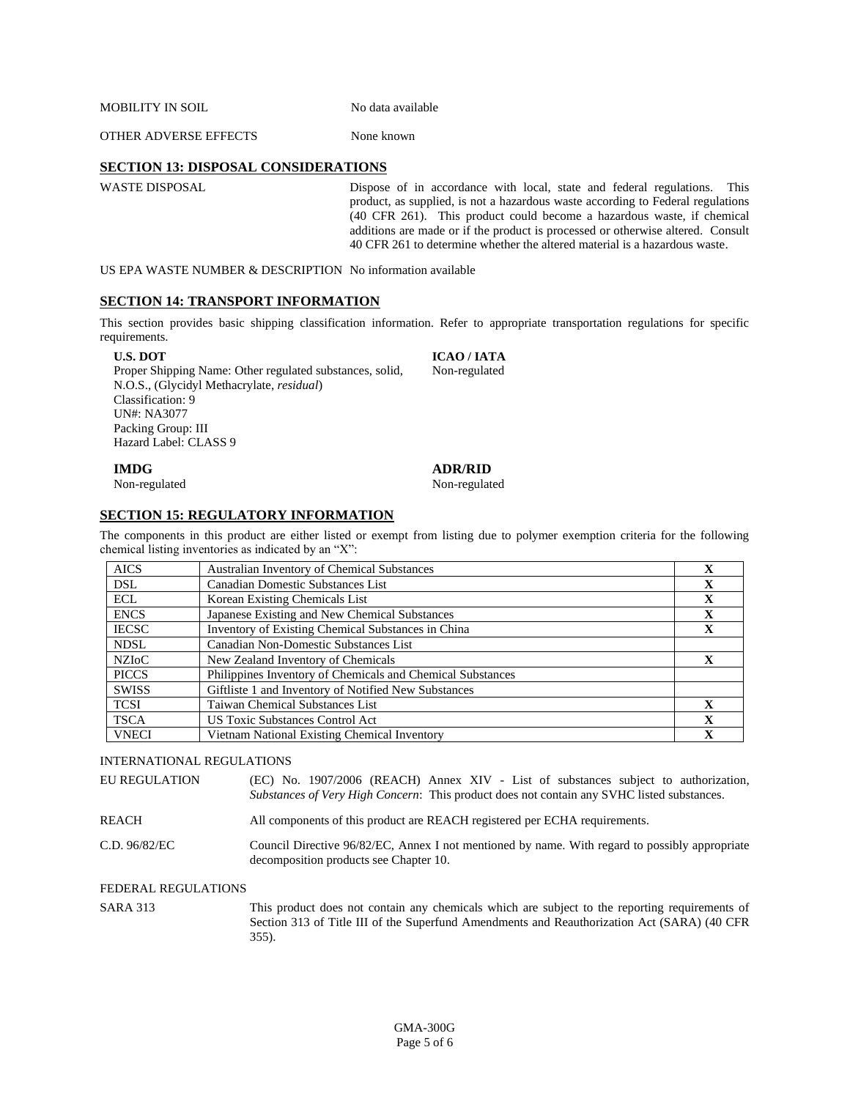MOBILITY IN SOIL No data available

OTHER ADVERSE EFFECTS None known

### **SECTION 13: DISPOSAL CONSIDERATIONS**

WASTE DISPOSAL Dispose of in accordance with local, state and federal regulations. This product, as supplied, is not a hazardous waste according to Federal regulations (40 CFR 261). This product could become a hazardous waste, if chemical additions are made or if the product is processed or otherwise altered. Consult 40 CFR 261 to determine whether the altered material is a hazardous waste.

US EPA WASTE NUMBER & DESCRIPTION No information available

## **SECTION 14: TRANSPORT INFORMATION**

This section provides basic shipping classification information. Refer to appropriate transportation regulations for specific requirements.

**U.S. DOT**

Proper Shipping Name: Other regulated substances, solid, N.O.S., (Glycidyl Methacrylate, *residual*) Classification: 9 UN#: NA3077 Packing Group: III Hazard Label: CLASS 9

**ICAO / IATA**  Non-regulated

#### **IMDG**

Non-regulated

#### **ADR/RID**

Non-regulated

### **SECTION 15: REGULATORY INFORMATION**

The components in this product are either listed or exempt from listing due to polymer exemption criteria for the following chemical listing inventories as indicated by an "X":

| <b>AICS</b>  | <b>Australian Inventory of Chemical Substances</b>         | x            |
|--------------|------------------------------------------------------------|--------------|
| <b>DSL</b>   | Canadian Domestic Substances List                          | X            |
| <b>ECL</b>   | Korean Existing Chemicals List                             | X            |
| <b>ENCS</b>  | Japanese Existing and New Chemical Substances              | $\mathbf X$  |
| <b>IECSC</b> | Inventory of Existing Chemical Substances in China         | $\mathbf X$  |
| <b>NDSL</b>  | Canadian Non-Domestic Substances List                      |              |
| NZIoC        | New Zealand Inventory of Chemicals                         | $\mathbf x$  |
| <b>PICCS</b> | Philippines Inventory of Chemicals and Chemical Substances |              |
| <b>SWISS</b> | Giftliste 1 and Inventory of Notified New Substances       |              |
| <b>TCSI</b>  | Taiwan Chemical Substances List                            | $\mathbf{x}$ |
| <b>TSCA</b>  | <b>US Toxic Substances Control Act</b>                     | $\mathbf{X}$ |
| <b>VNECI</b> | Vietnam National Existing Chemical Inventory               | $\mathbf x$  |

#### INTERNATIONAL REGULATIONS

| EU REGULATION | (EC) No. 1907/2006 (REACH) Annex XIV - List of substances subject to authorization,<br>Substances of Very High Concern: This product does not contain any SVHC listed substances. |  |
|---------------|-----------------------------------------------------------------------------------------------------------------------------------------------------------------------------------|--|
| REACH         | All components of this product are REACH registered per ECHA requirements.                                                                                                        |  |
| C.D. 96/82/EC | Council Directive 96/82/EC, Annex I not mentioned by name. With regard to possibly appropriate<br>decomposition products see Chapter 10.                                          |  |

#### FEDERAL REGULATIONS

SARA 313 This product does not contain any chemicals which are subject to the reporting requirements of Section 313 of Title III of the Superfund Amendments and Reauthorization Act (SARA) (40 CFR 355).